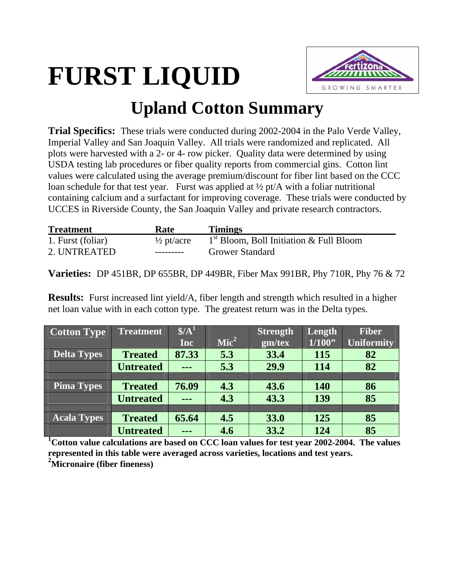## **FURST LIQUID**



## **Upland Cotton Summary**

**Trial Specifics:** These trials were conducted during 2002-2004 in the Palo Verde Valley, Imperial Valley and San Joaquin Valley. All trials were randomized and replicated. All plots were harvested with a 2- or 4- row picker. Quality data were determined by using USDA testing lab procedures or fiber quality reports from commercial gins. Cotton lint values were calculated using the average premium/discount for fiber lint based on the CCC loan schedule for that test year. Furst was applied at  $\frac{1}{2}$  pt/A with a foliar nutritional containing calcium and a surfactant for improving coverage. These trials were conducted by UCCES in Riverside County, the San Joaquin Valley and private research contractors.

| <b>Treatment</b>  | Rate                  | <b>Timings</b>                            |
|-------------------|-----------------------|-------------------------------------------|
| 1. Furst (foliar) | $\frac{1}{2}$ pt/acre | $1st$ Bloom, Boll Initiation & Full Bloom |
| 2. UNTREATED      | ----------            | <b>Grower Standard</b>                    |

**Varieties:** DP 451BR, DP 655BR, DP 449BR, Fiber Max 991BR, Phy 710R, Phy 76 & 72

**Results:** Furst increased lint yield/A, fiber length and strength which resulted in a higher net loan value with in each cotton type. The greatest return was in the Delta types.

| <b>Cotton Type</b> | <b>Treatment</b> | $\frac{1}{2}$ |                  | <b>Strength</b> | Length     | <b>Fiber</b>      |
|--------------------|------------------|---------------|------------------|-----------------|------------|-------------------|
|                    |                  | Inc           | $\textbf{Mic}^2$ | gm/tex          | 1/100"     | <b>Uniformity</b> |
| <b>Delta Types</b> | <b>Treated</b>   | 87.33         | 5.3              | 33.4            | <b>115</b> | 82                |
|                    | <b>Untreated</b> | ---           | 5.3              | 29.9            | 114        | 82                |
|                    |                  |               |                  |                 |            |                   |
| <b>Pima Types</b>  | <b>Treated</b>   | 76.09         | 4.3              | 43.6            | <b>140</b> | 86                |
|                    | <b>Untreated</b> | $- - -$       | 4.3              | 43.3            | 139        | 85                |
|                    |                  |               |                  |                 |            |                   |
| <b>Acala Types</b> | <b>Treated</b>   | 65.64         | 4.5              | 33.0            | 125        | 85                |
|                    | <b>Untreated</b> | ---           | 4.6              | 33.2            | 124        | 85                |

<sup>1</sup> Cotton value calculations are based on CCC loan values for test year 2002-2004. The values **represented in this table were averaged across varieties, locations and test years. 2 Micronaire (fiber fineness)**